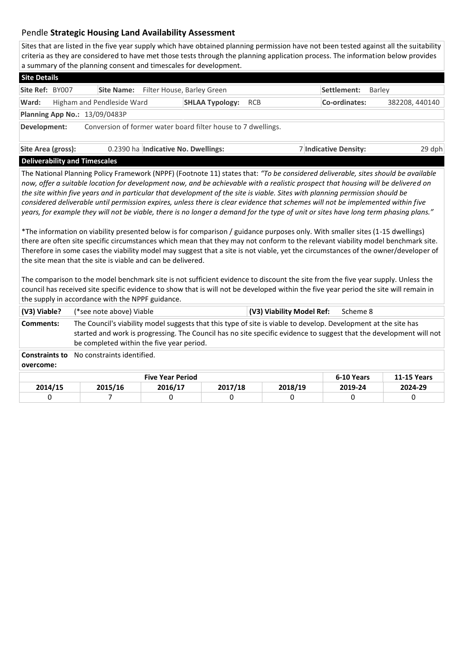## Pendle **Strategic Housing Land Availability Assessment**

Sites that are listed in the five year supply which have obtained planning permission have not been tested against all the suitability criteria as they are considered to have met those tests through the planning application process. The information below provides a summary of the planning consent and timescales for development.

| <b>Site Details</b> |                                      |                            |  |                                                               |  |                       |                |  |  |  |  |  |
|---------------------|--------------------------------------|----------------------------|--|---------------------------------------------------------------|--|-----------------------|----------------|--|--|--|--|--|
| Site Ref: BY007     |                                      | <b>Site Name:</b>          |  | Filter House, Barley Green                                    |  | Settlement:           | Barley         |  |  |  |  |  |
| Ward:               |                                      | Higham and Pendleside Ward |  | <b>SHLAA Typology: RCB</b>                                    |  | Co-ordinates:         | 382208, 440140 |  |  |  |  |  |
|                     | <b>Planning App No.: 13/09/0483P</b> |                            |  |                                                               |  |                       |                |  |  |  |  |  |
| Development:        |                                      |                            |  | Conversion of former water board filter house to 7 dwellings. |  |                       |                |  |  |  |  |  |
| Site Area (gross):  |                                      |                            |  | 0.2390 ha Indicative No. Dwellings:                           |  | 7 Indicative Density: | 29 dph         |  |  |  |  |  |

**Deliverability and Timescales** 

The National Planning Policy Framework (NPPF) (Footnote 11) states that: *"To be considered deliverable, sites should be available now, offer a suitable location for development now, and be achievable with a realistic prospect that housing will be delivered on the site within five years and in particular that development of the site is viable. Sites with planning permission should be considered deliverable until permission expires, unless there is clear evidence that schemes will not be implemented within five years, for example they will not be viable, there is no longer a demand for the type of unit or sites have long term phasing plans."*

\*The information on viability presented below is for comparison / guidance purposes only. With smaller sites (1-15 dwellings) there are often site specific circumstances which mean that they may not conform to the relevant viability model benchmark site. Therefore in some cases the viability model may suggest that a site is not viable, yet the circumstances of the owner/developer of the site mean that the site is viable and can be delivered.

The comparison to the model benchmark site is not sufficient evidence to discount the site from the five year supply. Unless the council has received site specific evidence to show that is will not be developed within the five year period the site will remain in the supply in accordance with the NPPF guidance.

| (V3) Viable?<br>(*see note above) Viable |                                                                                                                                                                                                                                                                                     |            |                    | (V3) Viability Model Ref: | Scheme 8 |         |  |  |  |  |  |
|------------------------------------------|-------------------------------------------------------------------------------------------------------------------------------------------------------------------------------------------------------------------------------------------------------------------------------------|------------|--------------------|---------------------------|----------|---------|--|--|--|--|--|
| Comments:                                | The Council's viability model suggests that this type of site is viable to develop. Development at the site has<br>started and work is progressing. The Council has no site specific evidence to suggest that the development will not<br>be completed within the five year period. |            |                    |                           |          |         |  |  |  |  |  |
| <b>Constraints to</b><br>overcome:       | No constraints identified.                                                                                                                                                                                                                                                          |            |                    |                           |          |         |  |  |  |  |  |
|                                          |                                                                                                                                                                                                                                                                                     | 6-10 Years | <b>11-15 Years</b> |                           |          |         |  |  |  |  |  |
| 2014/15                                  | 2015/16                                                                                                                                                                                                                                                                             | 2016/17    | 2017/18            | 2018/19                   | 2019-24  | 2024-29 |  |  |  |  |  |
|                                          |                                                                                                                                                                                                                                                                                     | 0          |                    | 0                         | 0        | 0       |  |  |  |  |  |